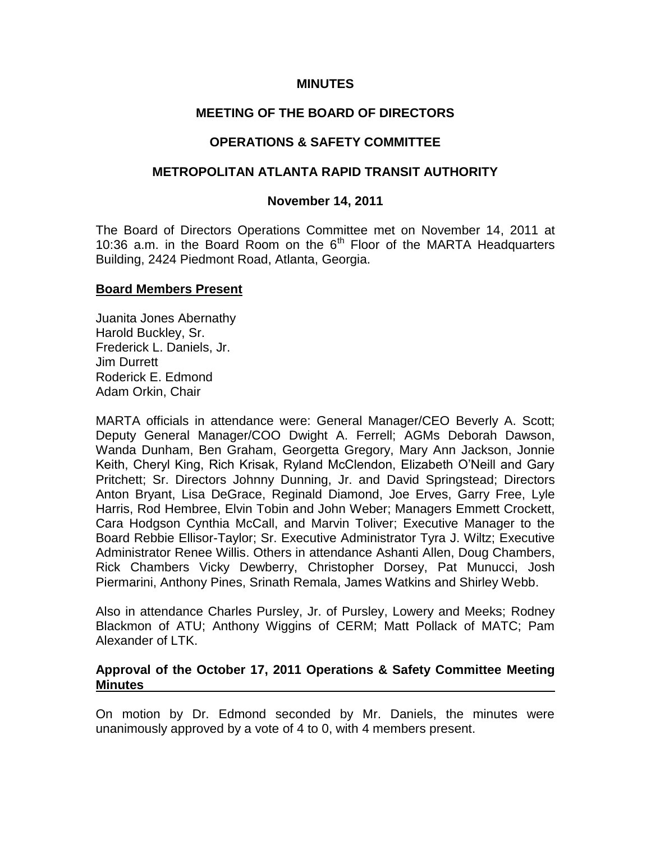### **MINUTES**

## **MEETING OF THE BOARD OF DIRECTORS**

## **OPERATIONS & SAFETY COMMITTEE**

### **METROPOLITAN ATLANTA RAPID TRANSIT AUTHORITY**

#### **November 14, 2011**

The Board of Directors Operations Committee met on November 14, 2011 at 10:36 a.m. in the Board Room on the  $6<sup>th</sup>$  Floor of the MARTA Headquarters Building, 2424 Piedmont Road, Atlanta, Georgia.

#### **Board Members Present**

Juanita Jones Abernathy Harold Buckley, Sr. Frederick L. Daniels, Jr. Jim Durrett Roderick E. Edmond Adam Orkin, Chair

MARTA officials in attendance were: General Manager/CEO Beverly A. Scott; Deputy General Manager/COO Dwight A. Ferrell; AGMs Deborah Dawson, Wanda Dunham, Ben Graham, Georgetta Gregory, Mary Ann Jackson, Jonnie Keith, Cheryl King, Rich Krisak, Ryland McClendon, Elizabeth O'Neill and Gary Pritchett; Sr. Directors Johnny Dunning, Jr. and David Springstead; Directors Anton Bryant, Lisa DeGrace, Reginald Diamond, Joe Erves, Garry Free, Lyle Harris, Rod Hembree, Elvin Tobin and John Weber; Managers Emmett Crockett, Cara Hodgson Cynthia McCall, and Marvin Toliver; Executive Manager to the Board Rebbie Ellisor-Taylor; Sr. Executive Administrator Tyra J. Wiltz; Executive Administrator Renee Willis. Others in attendance Ashanti Allen, Doug Chambers, Rick Chambers Vicky Dewberry, Christopher Dorsey, Pat Munucci, Josh Piermarini, Anthony Pines, Srinath Remala, James Watkins and Shirley Webb.

Also in attendance Charles Pursley, Jr. of Pursley, Lowery and Meeks; Rodney Blackmon of ATU; Anthony Wiggins of CERM; Matt Pollack of MATC; Pam Alexander of LTK.

#### **Approval of the October 17, 2011 Operations & Safety Committee Meeting Minutes**

On motion by Dr. Edmond seconded by Mr. Daniels, the minutes were unanimously approved by a vote of 4 to 0, with 4 members present.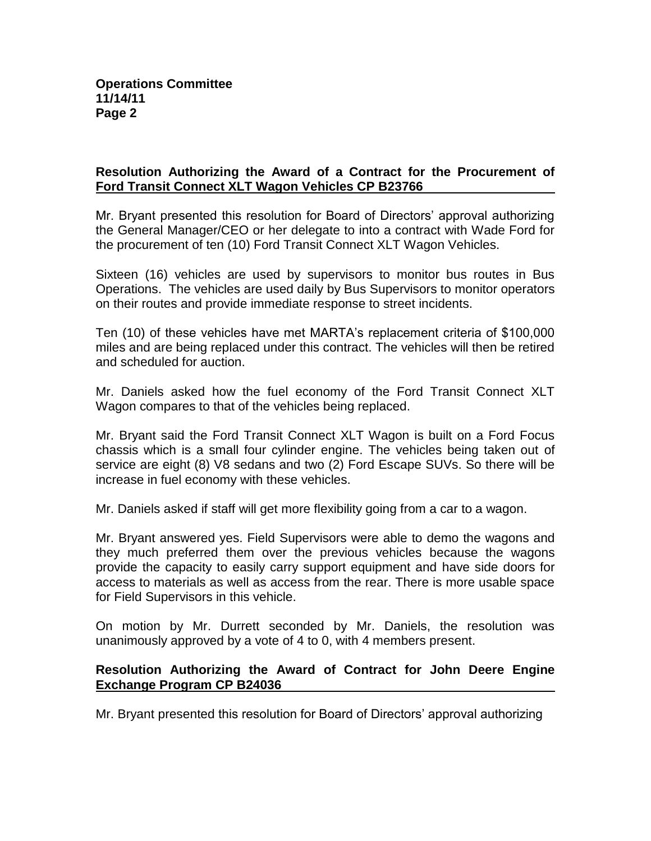# **Resolution Authorizing the Award of a Contract for the Procurement of Ford Transit Connect XLT Wagon Vehicles CP B23766**

Mr. Bryant presented this resolution for Board of Directors' approval authorizing the General Manager/CEO or her delegate to into a contract with Wade Ford for the procurement of ten (10) Ford Transit Connect XLT Wagon Vehicles.

Sixteen (16) vehicles are used by supervisors to monitor bus routes in Bus Operations. The vehicles are used daily by Bus Supervisors to monitor operators on their routes and provide immediate response to street incidents.

Ten (10) of these vehicles have met MARTA's replacement criteria of \$100,000 miles and are being replaced under this contract. The vehicles will then be retired and scheduled for auction.

Mr. Daniels asked how the fuel economy of the Ford Transit Connect XLT Wagon compares to that of the vehicles being replaced.

Mr. Bryant said the Ford Transit Connect XLT Wagon is built on a Ford Focus chassis which is a small four cylinder engine. The vehicles being taken out of service are eight (8) V8 sedans and two (2) Ford Escape SUVs. So there will be increase in fuel economy with these vehicles.

Mr. Daniels asked if staff will get more flexibility going from a car to a wagon.

Mr. Bryant answered yes. Field Supervisors were able to demo the wagons and they much preferred them over the previous vehicles because the wagons provide the capacity to easily carry support equipment and have side doors for access to materials as well as access from the rear. There is more usable space for Field Supervisors in this vehicle.

On motion by Mr. Durrett seconded by Mr. Daniels, the resolution was unanimously approved by a vote of 4 to 0, with 4 members present.

## **Resolution Authorizing the Award of Contract for John Deere Engine Exchange Program CP B24036**

Mr. Bryant presented this resolution for Board of Directors' approval authorizing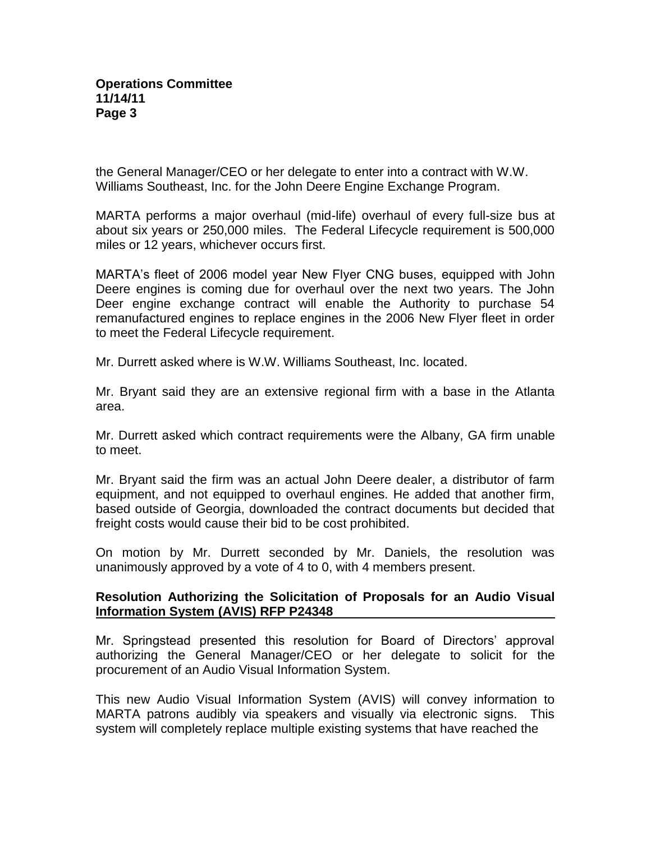the General Manager/CEO or her delegate to enter into a contract with W.W. Williams Southeast, Inc. for the John Deere Engine Exchange Program.

MARTA performs a major overhaul (mid-life) overhaul of every full-size bus at about six years or 250,000 miles. The Federal Lifecycle requirement is 500,000 miles or 12 years, whichever occurs first.

MARTA's fleet of 2006 model year New Flyer CNG buses, equipped with John Deere engines is coming due for overhaul over the next two years. The John Deer engine exchange contract will enable the Authority to purchase 54 remanufactured engines to replace engines in the 2006 New Flyer fleet in order to meet the Federal Lifecycle requirement.

Mr. Durrett asked where is W.W. Williams Southeast, Inc. located.

Mr. Bryant said they are an extensive regional firm with a base in the Atlanta area.

Mr. Durrett asked which contract requirements were the Albany, GA firm unable to meet.

Mr. Bryant said the firm was an actual John Deere dealer, a distributor of farm equipment, and not equipped to overhaul engines. He added that another firm, based outside of Georgia, downloaded the contract documents but decided that freight costs would cause their bid to be cost prohibited.

On motion by Mr. Durrett seconded by Mr. Daniels, the resolution was unanimously approved by a vote of 4 to 0, with 4 members present.

### **Resolution Authorizing the Solicitation of Proposals for an Audio Visual Information System (AVIS) RFP P24348**

Mr. Springstead presented this resolution for Board of Directors' approval authorizing the General Manager/CEO or her delegate to solicit for the procurement of an Audio Visual Information System.

This new Audio Visual Information System (AVIS) will convey information to MARTA patrons audibly via speakers and visually via electronic signs. This system will completely replace multiple existing systems that have reached the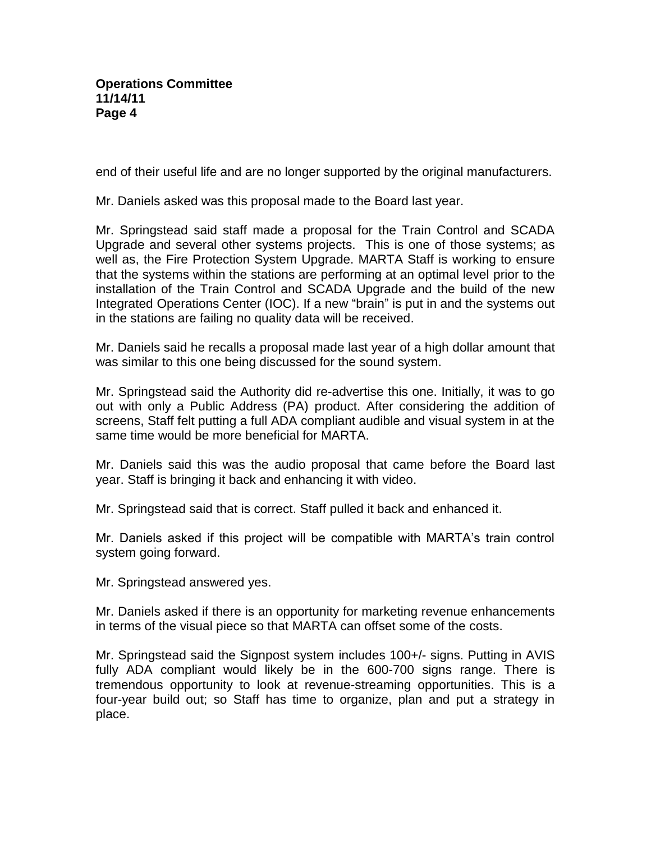end of their useful life and are no longer supported by the original manufacturers.

Mr. Daniels asked was this proposal made to the Board last year.

Mr. Springstead said staff made a proposal for the Train Control and SCADA Upgrade and several other systems projects. This is one of those systems; as well as, the Fire Protection System Upgrade. MARTA Staff is working to ensure that the systems within the stations are performing at an optimal level prior to the installation of the Train Control and SCADA Upgrade and the build of the new Integrated Operations Center (IOC). If a new "brain" is put in and the systems out in the stations are failing no quality data will be received.

Mr. Daniels said he recalls a proposal made last year of a high dollar amount that was similar to this one being discussed for the sound system.

Mr. Springstead said the Authority did re-advertise this one. Initially, it was to go out with only a Public Address (PA) product. After considering the addition of screens, Staff felt putting a full ADA compliant audible and visual system in at the same time would be more beneficial for MARTA.

Mr. Daniels said this was the audio proposal that came before the Board last year. Staff is bringing it back and enhancing it with video.

Mr. Springstead said that is correct. Staff pulled it back and enhanced it.

Mr. Daniels asked if this project will be compatible with MARTA's train control system going forward.

Mr. Springstead answered yes.

Mr. Daniels asked if there is an opportunity for marketing revenue enhancements in terms of the visual piece so that MARTA can offset some of the costs.

Mr. Springstead said the Signpost system includes 100+/- signs. Putting in AVIS fully ADA compliant would likely be in the 600-700 signs range. There is tremendous opportunity to look at revenue-streaming opportunities. This is a four-year build out; so Staff has time to organize, plan and put a strategy in place.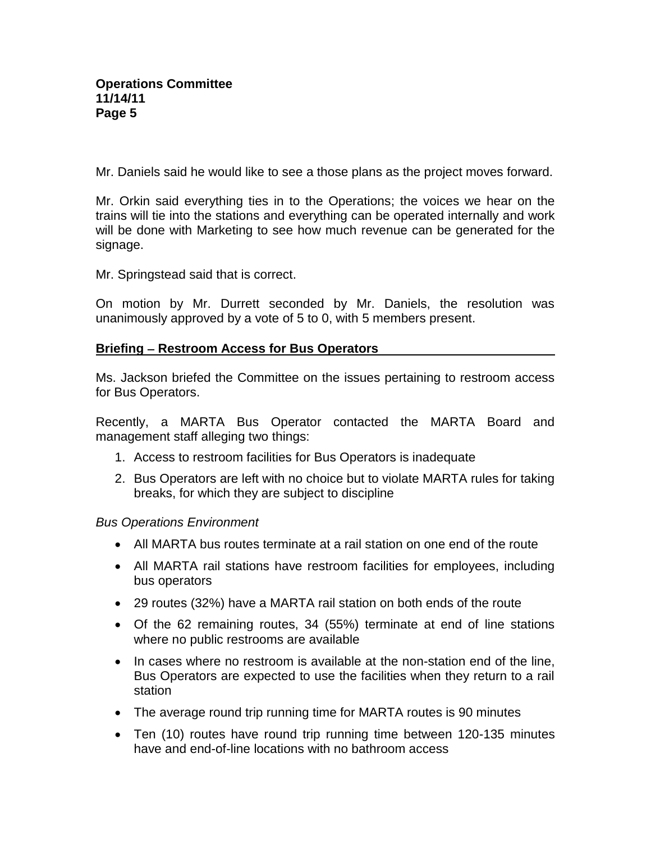Mr. Daniels said he would like to see a those plans as the project moves forward.

Mr. Orkin said everything ties in to the Operations; the voices we hear on the trains will tie into the stations and everything can be operated internally and work will be done with Marketing to see how much revenue can be generated for the signage.

Mr. Springstead said that is correct.

On motion by Mr. Durrett seconded by Mr. Daniels, the resolution was unanimously approved by a vote of 5 to 0, with 5 members present.

### **Briefing – Restroom Access for Bus Operators**

Ms. Jackson briefed the Committee on the issues pertaining to restroom access for Bus Operators.

Recently, a MARTA Bus Operator contacted the MARTA Board and management staff alleging two things:

- 1. Access to restroom facilities for Bus Operators is inadequate
- 2. Bus Operators are left with no choice but to violate MARTA rules for taking breaks, for which they are subject to discipline

## *Bus Operations Environment*

- All MARTA bus routes terminate at a rail station on one end of the route
- All MARTA rail stations have restroom facilities for employees, including bus operators
- 29 routes (32%) have a MARTA rail station on both ends of the route
- Of the 62 remaining routes, 34 (55%) terminate at end of line stations where no public restrooms are available
- In cases where no restroom is available at the non-station end of the line, Bus Operators are expected to use the facilities when they return to a rail station
- The average round trip running time for MARTA routes is 90 minutes
- Ten (10) routes have round trip running time between 120-135 minutes have and end-of-line locations with no bathroom access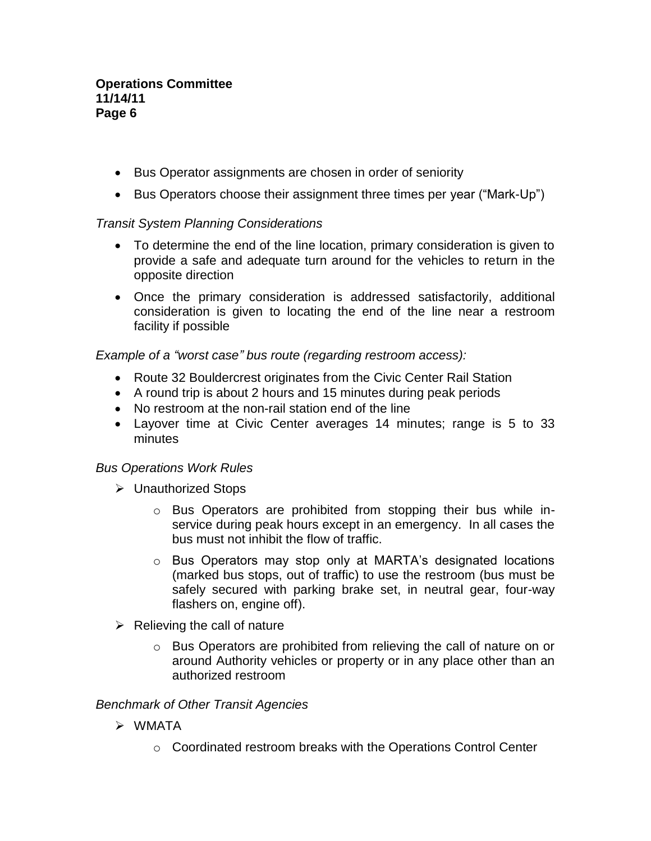### **Operations Committee 11/14/11 Page 6**

- Bus Operator assignments are chosen in order of seniority
- Bus Operators choose their assignment three times per year ("Mark-Up")

## *Transit System Planning Considerations*

- To determine the end of the line location, primary consideration is given to provide a safe and adequate turn around for the vehicles to return in the opposite direction
- Once the primary consideration is addressed satisfactorily, additional consideration is given to locating the end of the line near a restroom facility if possible

*Example of a "worst case" bus route (regarding restroom access):*

- Route 32 Bouldercrest originates from the Civic Center Rail Station
- A round trip is about 2 hours and 15 minutes during peak periods
- No restroom at the non-rail station end of the line
- Layover time at Civic Center averages 14 minutes; range is 5 to 33 minutes

## *Bus Operations Work Rules*

- Unauthorized Stops
	- $\circ$  Bus Operators are prohibited from stopping their bus while inservice during peak hours except in an emergency. In all cases the bus must not inhibit the flow of traffic.
	- o Bus Operators may stop only at MARTA's designated locations (marked bus stops, out of traffic) to use the restroom (bus must be safely secured with parking brake set, in neutral gear, four-way flashers on, engine off).
- $\triangleright$  Relieving the call of nature
	- $\circ$  Bus Operators are prohibited from relieving the call of nature on or around Authority vehicles or property or in any place other than an authorized restroom

## *Benchmark of Other Transit Agencies*

- WMATA
	- o Coordinated restroom breaks with the Operations Control Center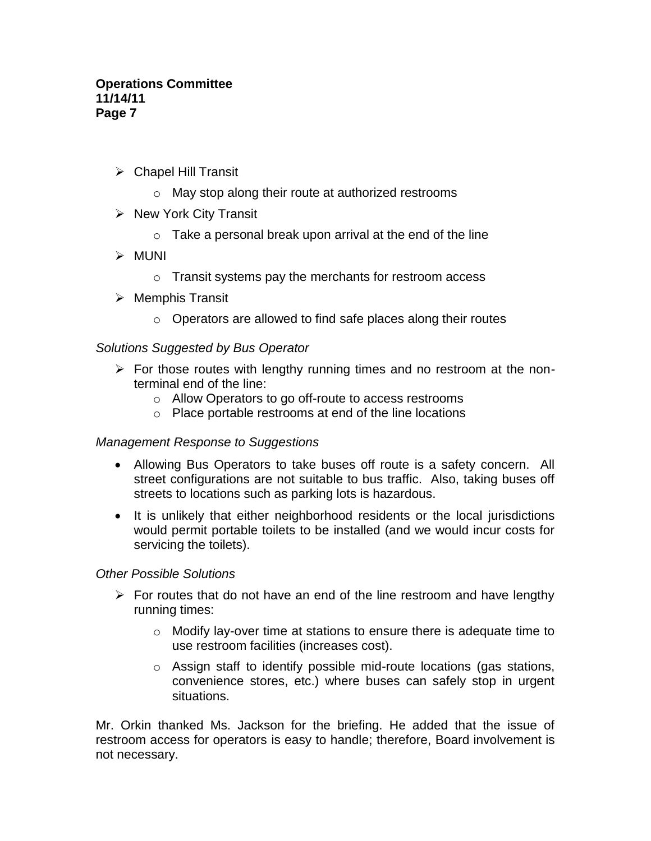### **Operations Committee 11/14/11 Page 7**

- $\triangleright$  Chapel Hill Transit
	- o May stop along their route at authorized restrooms
- $\triangleright$  New York City Transit
	- $\circ$  Take a personal break upon arrival at the end of the line
- MUNI
	- o Transit systems pay the merchants for restroom access
- $\triangleright$  Memphis Transit
	- o Operators are allowed to find safe places along their routes

## *Solutions Suggested by Bus Operator*

- $\triangleright$  For those routes with lengthy running times and no restroom at the nonterminal end of the line:
	- o Allow Operators to go off-route to access restrooms
	- o Place portable restrooms at end of the line locations

## *Management Response to Suggestions*

- Allowing Bus Operators to take buses off route is a safety concern. All street configurations are not suitable to bus traffic. Also, taking buses off streets to locations such as parking lots is hazardous.
- It is unlikely that either neighborhood residents or the local jurisdictions would permit portable toilets to be installed (and we would incur costs for servicing the toilets).

## *Other Possible Solutions*

- $\triangleright$  For routes that do not have an end of the line restroom and have lengthy running times:
	- o Modify lay-over time at stations to ensure there is adequate time to use restroom facilities (increases cost).
	- $\circ$  Assign staff to identify possible mid-route locations (gas stations, convenience stores, etc.) where buses can safely stop in urgent situations.

Mr. Orkin thanked Ms. Jackson for the briefing. He added that the issue of restroom access for operators is easy to handle; therefore, Board involvement is not necessary.